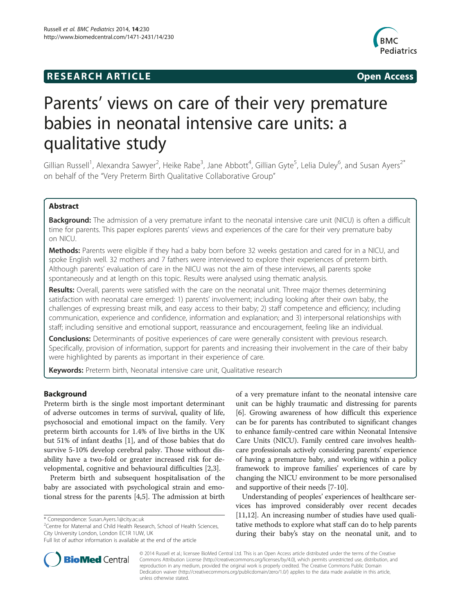## **RESEARCH ARTICLE Example 2014 The SEAR CH ACCESS**



# Parents' views on care of their very premature babies in neonatal intensive care units: a qualitative study

Gillian Russell<sup>1</sup>, Alexandra Sawyer<sup>2</sup>, Heike Rabe<sup>3</sup>, Jane Abbott<sup>4</sup>, Gillian Gyte<sup>5</sup>, Lelia Duley<sup>6</sup>, and Susan Ayers<sup>2\*</sup> on behalf of the "Very Preterm Birth Qualitative Collaborative Group"

## Abstract

Background: The admission of a very premature infant to the neonatal intensive care unit (NICU) is often a difficult time for parents. This paper explores parents' views and experiences of the care for their very premature baby on NICU.

Methods: Parents were eligible if they had a baby born before 32 weeks gestation and cared for in a NICU, and spoke English well. 32 mothers and 7 fathers were interviewed to explore their experiences of preterm birth. Although parents' evaluation of care in the NICU was not the aim of these interviews, all parents spoke spontaneously and at length on this topic. Results were analysed using thematic analysis.

Results: Overall, parents were satisfied with the care on the neonatal unit. Three major themes determining satisfaction with neonatal care emerged: 1) parents' involvement; including looking after their own baby, the challenges of expressing breast milk, and easy access to their baby; 2) staff competence and efficiency; including communication, experience and confidence, information and explanation; and 3) interpersonal relationships with staff; including sensitive and emotional support, reassurance and encouragement, feeling like an individual.

**Conclusions:** Determinants of positive experiences of care were generally consistent with previous research. Specifically, provision of information, support for parents and increasing their involvement in the care of their baby were highlighted by parents as important in their experience of care.

Keywords: Preterm birth, Neonatal intensive care unit, Qualitative research

## Background

Preterm birth is the single most important determinant of adverse outcomes in terms of survival, quality of life, psychosocial and emotional impact on the family. Very preterm birth accounts for 1.4% of live births in the UK but 51% of infant deaths [\[1](#page-9-0)], and of those babies that do survive 5-10% develop cerebral palsy. Those without disability have a two-fold or greater increased risk for developmental, cognitive and behavioural difficulties [[2,3\]](#page-9-0).

Preterm birth and subsequent hospitalisation of the baby are associated with psychological strain and emotional stress for the parents [\[4,5](#page-9-0)]. The admission at birth

<sup>2</sup> Centre for Maternal and Child Health Research, School of Health Sciences, City University London, London EC1R 1UW, UK

of a very premature infant to the neonatal intensive care unit can be highly traumatic and distressing for parents [[6\]](#page-9-0). Growing awareness of how difficult this experience can be for parents has contributed to significant changes to enhance family-centred care within Neonatal Intensive Care Units (NICU). Family centred care involves healthcare professionals actively considering parents' experience of having a premature baby, and working within a policy framework to improve families' experiences of care by changing the NICU environment to be more personalised and supportive of their needs [[7-10\]](#page-9-0).

Understanding of peoples' experiences of healthcare services has improved considerably over recent decades [[11,12](#page-9-0)]. An increasing number of studies have used qualitative methods to explore what staff can do to help parents during their baby's stay on the neonatal unit, and to



© 2014 Russell et al.; licensee BioMed Central Ltd. This is an Open Access article distributed under the terms of the Creative Commons Attribution License [\(http://creativecommons.org/licenses/by/4.0\)](http://creativecommons.org/licenses/by/4.0), which permits unrestricted use, distribution, and reproduction in any medium, provided the original work is properly credited. The Creative Commons Public Domain Dedication waiver [\(http://creativecommons.org/publicdomain/zero/1.0/](http://creativecommons.org/publicdomain/zero/1.0/)) applies to the data made available in this article, unless otherwise stated.

<sup>\*</sup> Correspondence: [Susan.Ayers.1@city.ac.uk](mailto:Susan.Ayers.1@city.ac.uk) <sup>2</sup>

Full list of author information is available at the end of the article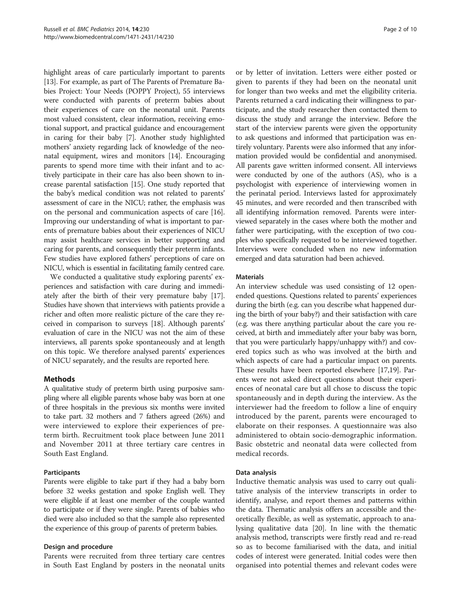highlight areas of care particularly important to parents [[13](#page-9-0)]. For example, as part of The Parents of Premature Babies Project: Your Needs (POPPY Project), 55 interviews were conducted with parents of preterm babies about their experiences of care on the neonatal unit. Parents most valued consistent, clear information, receiving emotional support, and practical guidance and encouragement in caring for their baby [\[7\]](#page-9-0). Another study highlighted mothers' anxiety regarding lack of knowledge of the neonatal equipment, wires and monitors [[14](#page-9-0)]. Encouraging parents to spend more time with their infant and to actively participate in their care has also been shown to increase parental satisfaction [\[15](#page-9-0)]. One study reported that the baby's medical condition was not related to parents' assessment of care in the NICU; rather, the emphasis was on the personal and communication aspects of care [[16](#page-9-0)]. Improving our understanding of what is important to parents of premature babies about their experiences of NICU may assist healthcare services in better supporting and caring for parents, and consequently their preterm infants. Few studies have explored fathers' perceptions of care on NICU, which is essential in facilitating family centred care.

We conducted a qualitative study exploring parents' experiences and satisfaction with care during and immediately after the birth of their very premature baby [[17](#page-9-0)]. Studies have shown that interviews with patients provide a richer and often more realistic picture of the care they received in comparison to surveys [\[18\]](#page-9-0). Although parents' evaluation of care in the NICU was not the aim of these interviews, all parents spoke spontaneously and at length on this topic. We therefore analysed parents' experiences of NICU separately, and the results are reported here.

## Methods

A qualitative study of preterm birth using purposive sampling where all eligible parents whose baby was born at one of three hospitals in the previous six months were invited to take part. 32 mothers and 7 fathers agreed (26%) and were interviewed to explore their experiences of preterm birth. Recruitment took place between June 2011 and November 2011 at three tertiary care centres in South East England.

## Participants

Parents were eligible to take part if they had a baby born before 32 weeks gestation and spoke English well. They were eligible if at least one member of the couple wanted to participate or if they were single. Parents of babies who died were also included so that the sample also represented the experience of this group of parents of preterm babies.

## Design and procedure

Parents were recruited from three tertiary care centres in South East England by posters in the neonatal units

or by letter of invitation. Letters were either posted or given to parents if they had been on the neonatal unit for longer than two weeks and met the eligibility criteria. Parents returned a card indicating their willingness to participate, and the study researcher then contacted them to discuss the study and arrange the interview. Before the start of the interview parents were given the opportunity to ask questions and informed that participation was entirely voluntary. Parents were also informed that any information provided would be confidential and anonymised. All parents gave written informed consent. All interviews were conducted by one of the authors (AS), who is a psychologist with experience of interviewing women in the perinatal period. Interviews lasted for approximately 45 minutes, and were recorded and then transcribed with all identifying information removed. Parents were interviewed separately in the cases where both the mother and father were participating, with the exception of two couples who specifically requested to be interviewed together. Interviews were concluded when no new information emerged and data saturation had been achieved.

## **Materials**

An interview schedule was used consisting of 12 openended questions. Questions related to parents' experiences during the birth (e.g. can you describe what happened during the birth of your baby?) and their satisfaction with care (e.g. was there anything particular about the care you received, at birth and immediately after your baby was born, that you were particularly happy/unhappy with?) and covered topics such as who was involved at the birth and which aspects of care had a particular impact on parents. These results have been reported elsewhere [[17,19\]](#page-9-0). Parents were not asked direct questions about their experiences of neonatal care but all chose to discuss the topic spontaneously and in depth during the interview. As the interviewer had the freedom to follow a line of enquiry introduced by the parent, parents were encouraged to elaborate on their responses. A questionnaire was also administered to obtain socio-demographic information. Basic obstetric and neonatal data were collected from medical records.

## Data analysis

Inductive thematic analysis was used to carry out qualitative analysis of the interview transcripts in order to identify, analyse, and report themes and patterns within the data. Thematic analysis offers an accessible and theoretically flexible, as well as systematic, approach to analysing qualitative data [[20\]](#page-9-0). In line with the thematic analysis method, transcripts were firstly read and re-read so as to become familiarised with the data, and initial codes of interest were generated. Initial codes were then organised into potential themes and relevant codes were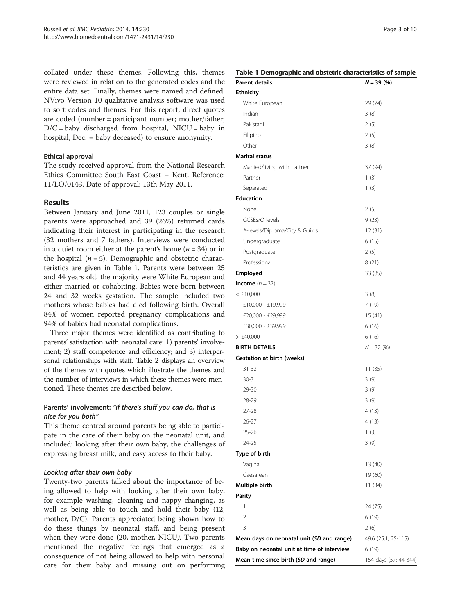collated under these themes. Following this, themes were reviewed in relation to the generated codes and the entire data set. Finally, themes were named and defined. NVivo Version 10 qualitative analysis software was used to sort codes and themes. For this report, direct quotes are coded (number = participant number; mother/father;  $D/C =$  baby discharged from hospital, NICU = baby in hospital, Dec. = baby deceased) to ensure anonymity.

## Ethical approval

The study received approval from the National Research Ethics Committee South East Coast – Kent. Reference: 11/LO/0143. Date of approval: 13th May 2011.

#### Results

Between January and June 2011, 123 couples or single parents were approached and 39 (26%) returned cards indicating their interest in participating in the research (32 mothers and 7 fathers). Interviews were conducted in a quiet room either at the parent's home  $(n = 34)$  or in the hospital  $(n = 5)$ . Demographic and obstetric characteristics are given in Table 1. Parents were between 25 and 44 years old, the majority were White European and either married or cohabiting. Babies were born between 24 and 32 weeks gestation. The sample included two mothers whose babies had died following birth. Overall 84% of women reported pregnancy complications and 94% of babies had neonatal complications.

Three major themes were identified as contributing to parents' satisfaction with neonatal care: 1) parents' involvement; 2) staff competence and efficiency; and 3) interpersonal relationships with staff. Table [2](#page-3-0) displays an overview of the themes with quotes which illustrate the themes and the number of interviews in which these themes were mentioned. These themes are described below.

## Parents' involvement: "if there's stuff you can do, that is nice for you both"

This theme centred around parents being able to participate in the care of their baby on the neonatal unit, and included: looking after their own baby, the challenges of expressing breast milk, and easy access to their baby.

#### Looking after their own baby

Twenty-two parents talked about the importance of being allowed to help with looking after their own baby, for example washing, cleaning and nappy changing, as well as being able to touch and hold their baby (12, mother, D/C). Parents appreciated being shown how to do these things by neonatal staff, and being present when they were done (20, mother, NICU). Two parents mentioned the negative feelings that emerged as a consequence of not being allowed to help with personal care for their baby and missing out on performing

| Page 3 of 10 |  |  |
|--------------|--|--|
|--------------|--|--|

## Table 1 Demographic and obstetric characteristics of sample

| <b>Parent details</b>                      | $N = 39(%)$           |
|--------------------------------------------|-----------------------|
| <b>Ethnicity</b>                           |                       |
| White European                             | 29 (74)               |
| Indian                                     | 3(8)                  |
| Pakistani                                  | 2(5)                  |
| Filipino                                   | 2(5)                  |
| Other                                      | 3(8)                  |
| <b>Marital status</b>                      |                       |
| Married/living with partner                | 37 (94)               |
| Partner                                    | 1(3)                  |
| Separated                                  | 1(3)                  |
| <b>Education</b>                           |                       |
| None                                       | 2(5)                  |
| GCSEs/O levels                             | 9(23)                 |
| A-levels/Diploma/City & Guilds             | 12 (31)               |
| Undergraduate                              | 6(15)                 |
| Postgraduate                               | 2(5)                  |
| Professional                               | 8(21)                 |
| <b>Employed</b>                            | 33 (85)               |
| <b>Income</b> $(n = 37)$                   |                       |
| $<$ £10,000                                | 3(8)                  |
| £10,000 - £19,999                          | 7(19)                 |
| £20,000 - £29,999                          | 15(41)                |
| £30,000 - £39,999                          | 6(16)                 |
| > £40,000                                  | 6(16)                 |
| <b>BIRTH DETAILS</b>                       | $N = 32(96)$          |
| <b>Gestation at birth (weeks)</b>          |                       |
| 31-32                                      | 11 (35)               |
| 30-31                                      | 3(9)                  |
| 29-30                                      | 3(9)                  |
| 28-29                                      | 3(9)                  |
| $27 - 28$                                  | 4 (13)                |
| $26 - 27$                                  | 4 (13)                |
| 25-26                                      | 1(3)                  |
| 24-25                                      | 3(9)                  |
| Type of birth                              |                       |
| Vaginal                                    | 13 (40)               |
| Caesarean                                  | 19 (60)               |
| Multiple birth                             | 11 (34)               |
| <b>Parity</b>                              |                       |
| 1                                          | 24 (75)               |
| 2                                          | 6 (19)                |
| 3                                          | 2 (6)                 |
| Mean days on neonatal unit (SD and range)  | 49.6 (25.1; 25-115)   |
| Baby on neonatal unit at time of interview | 6 (19)                |
| Mean time since birth (SD and range)       | 154 days (57; 44-344) |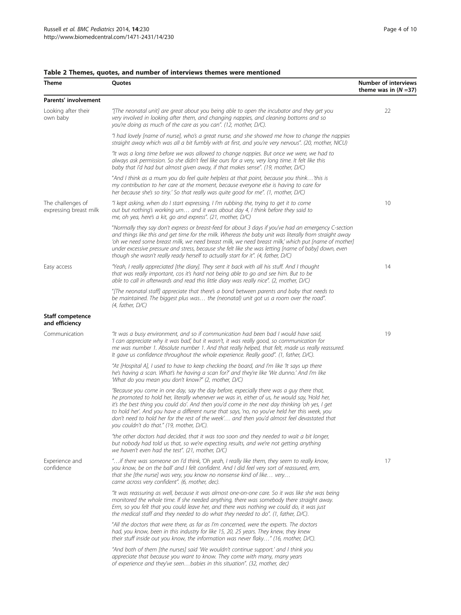| Theme                                       | Quotes                                                                                                                                                                                                                                                                                                                                                                                                                                                                                                                                    | <b>Number of interviews</b><br>theme was in $(N=37)$ |
|---------------------------------------------|-------------------------------------------------------------------------------------------------------------------------------------------------------------------------------------------------------------------------------------------------------------------------------------------------------------------------------------------------------------------------------------------------------------------------------------------------------------------------------------------------------------------------------------------|------------------------------------------------------|
| Parents' involvement                        |                                                                                                                                                                                                                                                                                                                                                                                                                                                                                                                                           |                                                      |
| Looking after their<br>own baby             | "[The neonatal unit] are great about you being able to open the incubator and they get you<br>very involved in looking after them, and changing nappies, and cleaning bottoms and so<br>you're doing as much of the care as you can". (12, mother, D/C).                                                                                                                                                                                                                                                                                  | 22                                                   |
|                                             | "I had lovely [name of nurse], who's a great nurse, and she showed me how to change the nappies<br>straight away which was all a bit fumbly with at first, and you're very nervous". (20, mother, NICU)                                                                                                                                                                                                                                                                                                                                   |                                                      |
|                                             | "It was a long time before we was allowed to change nappies. But once we were, we had to<br>always ask permission. So she didn't feel like ours for a very, very long time. It felt like this<br>baby that I'd had but almost given away, if that makes sense". (19, mother, D/C)                                                                                                                                                                                                                                                         |                                                      |
|                                             | "And I think as a mum you do feel quite helpless at that point, because you think'this is<br>my contribution to her care at the moment, because everyone else is having to care for<br>her because she's so tiny.' So that really was quite good for me". (1, mother, D/C)                                                                                                                                                                                                                                                                |                                                      |
| The challenges of<br>expressing breast milk | "I kept asking, when do I start expressing, I I'm rubbing the, trying to get it to come<br>out but nothing's working um and it was about day 4, I think before they said to<br>me, oh yea, here's a kit, go and express". (21, mother, D/C)                                                                                                                                                                                                                                                                                               | 10                                                   |
|                                             | "Normally they say don't express or breast-feed for about 3 days if you've had an emergency C-section<br>and things like this and get time for the milk. Whereas the baby unit was literally from straight away<br>'oh we need some breast milk, we need breast milk, we need breast milk,' which put [name of mother]<br>under excessive pressure and stress, because she felt like she was letting [name of baby] down, even<br>though she wasn't really ready herself to actually start for it". (4, father, D/C)                      |                                                      |
| Easy access                                 | "Yeah, I really appreciated [the diary]. They sent it back with all his stuff. And I thought<br>that was really important, cos it's hard not being able to go and see him. But to be<br>able to call in afterwards and read this little diary was really nice". (2, mother, D/C)                                                                                                                                                                                                                                                          | 14                                                   |
|                                             | "[The neonatal staff] appreciate that there's a bond between parents and baby that needs to<br>be maintained. The biggest plus was the (neonatal) unit got us a room over the road".<br>(4, father, D/C)                                                                                                                                                                                                                                                                                                                                  |                                                      |
| Staff competence<br>and efficiency          |                                                                                                                                                                                                                                                                                                                                                                                                                                                                                                                                           |                                                      |
| Communication                               | "It was a busy environment, and so if communication had been bad I would have said,<br>'I can appreciate why it was bad', but it wasn't, it was really good, so communication for<br>me was number 1. Absolute number 1. And that really helped, that felt, made us really reassured.<br>It gave us confidence throughout the whole experience. Really good". (1, father, D/C).                                                                                                                                                           | 19                                                   |
|                                             | "At [Hospital A], I used to have to keep checking the board, and I'm like 'It says up there<br>he's having a scan. What's he having a scan for?' and they're like 'We dunno.' And I'm like<br>'What do you mean you don't know?" (2, mother, D/C)                                                                                                                                                                                                                                                                                         |                                                      |
|                                             | "Because you come in one day, say the day before, especially there was a guy there that,<br>he promoted to hold her, literally whenever we was in, either of us, he would say, 'Hold her,<br>it's the best thing you could do'. And then you'd come in the next day thinking 'oh yes, I get<br>to hold her'. And you have a different nurse that says, 'no, no you've held her this week, you<br>don't need to hold her for the rest of the week' and then you'd almost feel devastated that<br>you couldn't do that." (19, mother, D/C). |                                                      |
|                                             | "the other doctors had decided, that it was too soon and they needed to wait a bit longer,<br>but nobody had told us that, so we're expecting results, and we're not getting anything<br>we haven't even had the test". (21, mother, D/C)                                                                                                                                                                                                                                                                                                 |                                                      |
| Experience and<br>confidence                | " if there was someone on I'd think, 'Oh yeah, I really like them, they seem to really know,<br>you know, be on the ball' and I felt confident. And I did feel very sort of reassured, erm,<br>that she [the nurse] was very, you know no nonsense kind of like very<br>came across very confident". (6, mother, dec).                                                                                                                                                                                                                    | 17                                                   |
|                                             | "It was reassuring as well, because it was almost one-on-one care. So it was like she was being<br>monitored the whole time. If she needed anything, there was somebody there straight away.<br>Erm, so you felt that you could leave her, and there was nothing we could do, it was just<br>the medical staff and they needed to do what they needed to do". (1, father, D/C).                                                                                                                                                           |                                                      |
|                                             | "All the doctors that were there, as far as I'm concerned, were the experts. The doctors<br>had, you know, been in this industry for like 15, 20, 25 years. They knew, they knew<br>their stuff inside out you know, the information was never flaky" (16, mother, D/C).                                                                                                                                                                                                                                                                  |                                                      |
|                                             | "And both of them [the nurses] said 'We wouldn't continue support.' and I think you<br>appreciate that because you want to know. They come with many, many years<br>of experience and they've seenbabies in this situation". (32, mother, dec)                                                                                                                                                                                                                                                                                            |                                                      |

## <span id="page-3-0"></span>Table 2 Themes, quotes, and number of interviews themes were mentioned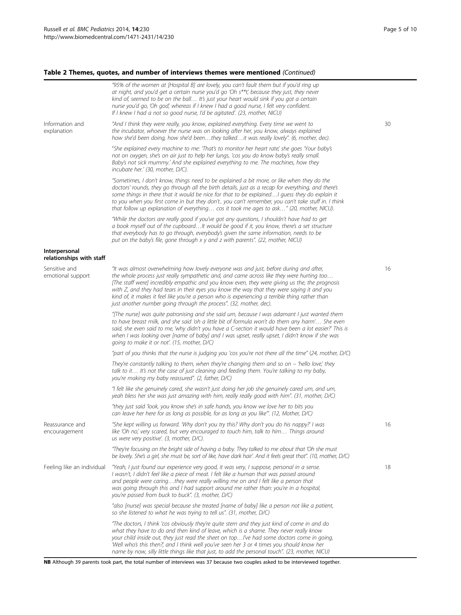|  |  |  | Table 2 Themes, quotes, and number of interviews themes were mentioned (Continued) |
|--|--|--|------------------------------------------------------------------------------------|
|--|--|--|------------------------------------------------------------------------------------|

|                                           | "95% of the women at [Hospital B] are lovely, you can't fault them but if you'd ring up<br>at night, and you'd get a certain nurse you'd go 'Oh s**t', because they just, they never<br>kind of, seemed to be on the ball It's just your heart would sink if you got a certain<br>nurse you'd go, 'Oh god', whereas if I knew I had a good nurse, I felt very confident.<br>If I knew I had a not so good nurse, I'd be agitated'. (23, mother, NICU)                                                                                                        |    |
|-------------------------------------------|--------------------------------------------------------------------------------------------------------------------------------------------------------------------------------------------------------------------------------------------------------------------------------------------------------------------------------------------------------------------------------------------------------------------------------------------------------------------------------------------------------------------------------------------------------------|----|
| Information and<br>explanation            | "And I think they were really, you know, explained everything. Every time we went to<br>the incubator, whoever the nurse was on looking after her, you know, always explained<br>how she'd been doing, how she'd beenthey talkedit was really lovely". (6, mother, dec).                                                                                                                                                                                                                                                                                     | 30 |
|                                           | "She explained every machine to me: That's to monitor her heart rate', she goes 'Your baby's<br>not on oxygen, she's on air just to help her lungs, 'cos you do know baby's really small.<br>Baby's not sick mummy.' And she explained everything to me. The machines, how they<br>incubate her.' (30, mother, D/C).                                                                                                                                                                                                                                         |    |
|                                           | "Sometimes, I don't know, things need to be explained a bit more, or like when they do the<br>doctors' rounds, they go through all the birth details, just as a recap for everything, and there's<br>some things in there that it would be nice for that to be explained I guess they do explain it<br>to you when you first come in but they don't you can't remember, you can't take stuff in. I think<br>that follow up explanation of everything cos it took me ages to ask" (20, mother, NICU).                                                         |    |
|                                           | "While the doctors are really good if you've got any questions, I shouldn't have had to get<br>a book myself out of the cupboardIt would be good if it, you know, there's a set structure<br>that everybody has to go through, everybody's given the same information, needs to be<br>put on the baby's file, gone through x y and z with parents". (22, mother, NICU)                                                                                                                                                                                       |    |
| Interpersonal<br>relationships with staff |                                                                                                                                                                                                                                                                                                                                                                                                                                                                                                                                                              |    |
| Sensitive and<br>emotional support        | "It was almost overwhelming how lovely everyone was and just, before during and after,<br>the whole process just really sympathetic and, and came across like they were hurting too<br>[The staff were] incredibly empathic and you know even, they were giving us the, the prognosis<br>with Z, and they had tears in their eyes you know the way that they were saying it and you<br>kind of, it makes it feel like you're a person who is experiencing a terrible thing rather than<br>just another number going through the process". (32, mother, dec). | 16 |
|                                           | "[The nurse] was quite patronising and she said um, because I was adamant I just wanted them<br>to have breast milk, and she said 'oh a little bit of formula won't do them any harm' She even<br>said, she even said to me, 'why didn't you have a C-section it would have been a lot easier?' This is<br>when I was looking over [name of baby] and I was upset, really upset, I didn't know if she was<br>going to make it or not'. (15, mother, D/C)                                                                                                     |    |
|                                           | "part of you thinks that the nurse is judging you 'cos you're not there all the time" (24, mother, D/C)                                                                                                                                                                                                                                                                                                                                                                                                                                                      |    |
|                                           | They're constantly talking to them, when they're changing them and so on $-$ 'hello love,' they<br>talk to it It's not the case of just cleaning and feeding them. You're talking to my baby,<br>you're making my baby reassured". (2, father, D/C)                                                                                                                                                                                                                                                                                                          |    |
|                                           | "I felt like she genuinely cared, she wasn't just doing her job she genuinely cared um, and um,<br>yeah bless her she was just amazing with him, really really good with him". (31, mother, D/C)                                                                                                                                                                                                                                                                                                                                                             |    |
|                                           | "they just said 'look, you know she's in safe hands, you know we love her to bits you<br>can leave her here for as long as possible, for as long as you like". (12, Mother, D/C)                                                                                                                                                                                                                                                                                                                                                                             |    |
| Reassurance and<br>encouragement          | "She kept willing us forward. 'Why don't you try this? Why don't you do his nappy?' I was<br>like 'Oh no', very scared, but very encouraged to touch him, talk to him Things around<br>us were very positive'. (3, mother, D/C).                                                                                                                                                                                                                                                                                                                             | 16 |
|                                           | "They're focusing on the bright side of having a baby. They talked to me about that 'Oh she must<br>be lovely. She's a girl, she must be, sort of like, have dark hair'. And it feels great that". (10, mother, D/C)                                                                                                                                                                                                                                                                                                                                         |    |
| Feeling like an individual                | "Yeah, I just found our experience very good, it was very, I suppose, personal in a sense.<br>I wasn't, I didn't feel like a piece of meat. I felt like a human that was passed around<br>and people were caringthey were really willing me on and I felt like a person that<br>was going through this and I had support around me rather than: you're in a hospital,<br>you're passed from buck to buck". (3, mother, D/C)                                                                                                                                  | 18 |
|                                           | "also [nurse] was special because she treated [name of baby] like a person not like a patient,<br>so she listened to what he was trying to tell us". (31, mother, D/C)                                                                                                                                                                                                                                                                                                                                                                                       |    |
|                                           | "The doctors, I think 'cos obviously they're quite stern and they just kind of come in and do<br>what they have to do and then kind of leave, which is a shame. They never really know<br>your child inside out, they just read the sheet on topI've had some doctors come in going,<br>Well who's this then?', and I think well you've seen her 3 or 4 times you should know her<br>name by now, silly little things like that just, to add the personal touch". (23, mother, NICU)                                                                         |    |

NB Although 39 parents took part, the total number of interviews was 37 because two couples asked to be interviewed together.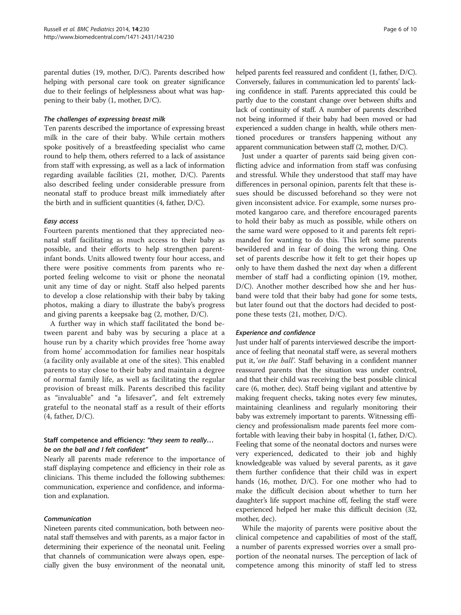parental duties (19, mother, D/C). Parents described how helping with personal care took on greater significance due to their feelings of helplessness about what was happening to their baby (1, mother, D/C).

#### The challenges of expressing breast milk

Ten parents described the importance of expressing breast milk in the care of their baby. While certain mothers spoke positively of a breastfeeding specialist who came round to help them, others referred to a lack of assistance from staff with expressing, as well as a lack of information regarding available facilities (21, mother, D/C). Parents also described feeling under considerable pressure from neonatal staff to produce breast milk immediately after the birth and in sufficient quantities (4, father, D/C).

## Easy access

Fourteen parents mentioned that they appreciated neonatal staff facilitating as much access to their baby as possible, and their efforts to help strengthen parentinfant bonds. Units allowed twenty four hour access, and there were positive comments from parents who reported feeling welcome to visit or phone the neonatal unit any time of day or night. Staff also helped parents to develop a close relationship with their baby by taking photos, making a diary to illustrate the baby's progress and giving parents a keepsake bag (2, mother, D/C).

A further way in which staff facilitated the bond between parent and baby was by securing a place at a house run by a charity which provides free 'home away from home' accommodation for families near hospitals (a facility only available at one of the sites). This enabled parents to stay close to their baby and maintain a degree of normal family life, as well as facilitating the regular provision of breast milk. Parents described this facility as "invaluable" and "a lifesaver", and felt extremely grateful to the neonatal staff as a result of their efforts  $(4, father, D/C).$ 

## Staff competence and efficiency: "they seem to really… be on the ball and I felt confident"

Nearly all parents made reference to the importance of staff displaying competence and efficiency in their role as clinicians. This theme included the following subthemes: communication, experience and confidence, and information and explanation.

## Communication

Nineteen parents cited communication, both between neonatal staff themselves and with parents, as a major factor in determining their experience of the neonatal unit. Feeling that channels of communication were always open, especially given the busy environment of the neonatal unit, helped parents feel reassured and confident (1, father, D/C). Conversely, failures in communication led to parents' lacking confidence in staff. Parents appreciated this could be partly due to the constant change over between shifts and lack of continuity of staff. A number of parents described not being informed if their baby had been moved or had experienced a sudden change in health, while others mentioned procedures or transfers happening without any apparent communication between staff (2, mother, D/C).

Just under a quarter of parents said being given conflicting advice and information from staff was confusing and stressful. While they understood that staff may have differences in personal opinion, parents felt that these issues should be discussed beforehand so they were not given inconsistent advice. For example, some nurses promoted kangaroo care, and therefore encouraged parents to hold their baby as much as possible, while others on the same ward were opposed to it and parents felt reprimanded for wanting to do this. This left some parents bewildered and in fear of doing the wrong thing. One set of parents describe how it felt to get their hopes up only to have them dashed the next day when a different member of staff had a conflicting opinion (19, mother, D/C). Another mother described how she and her husband were told that their baby had gone for some tests, but later found out that the doctors had decided to postpone these tests (21, mother, D/C).

## Experience and confidence

Just under half of parents interviewed describe the importance of feeling that neonatal staff were, as several mothers put it, 'on the ball'. Staff behaving in a confident manner reassured parents that the situation was under control, and that their child was receiving the best possible clinical care (6, mother, dec). Staff being vigilant and attentive by making frequent checks, taking notes every few minutes, maintaining cleanliness and regularly monitoring their baby was extremely important to parents. Witnessing efficiency and professionalism made parents feel more comfortable with leaving their baby in hospital (1, father, D/C). Feeling that some of the neonatal doctors and nurses were very experienced, dedicated to their job and highly knowledgeable was valued by several parents, as it gave them further confidence that their child was in expert hands (16, mother, D/C). For one mother who had to make the difficult decision about whether to turn her daughter's life support machine off, feeling the staff were experienced helped her make this difficult decision (32, mother, dec).

While the majority of parents were positive about the clinical competence and capabilities of most of the staff, a number of parents expressed worries over a small proportion of the neonatal nurses. The perception of lack of competence among this minority of staff led to stress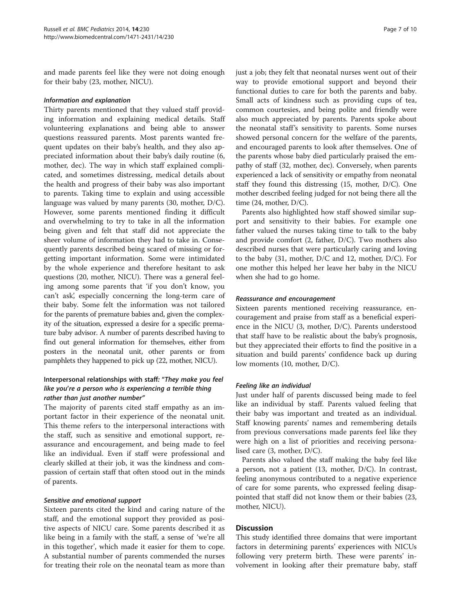and made parents feel like they were not doing enough for their baby (23, mother, NICU).

#### Information and explanation

Thirty parents mentioned that they valued staff providing information and explaining medical details. Staff volunteering explanations and being able to answer questions reassured parents. Most parents wanted frequent updates on their baby's health, and they also appreciated information about their baby's daily routine (6, mother, dec). The way in which staff explained complicated, and sometimes distressing, medical details about the health and progress of their baby was also important to parents. Taking time to explain and using accessible language was valued by many parents (30, mother, D/C). However, some parents mentioned finding it difficult and overwhelming to try to take in all the information being given and felt that staff did not appreciate the sheer volume of information they had to take in. Consequently parents described being scared of missing or forgetting important information. Some were intimidated by the whole experience and therefore hesitant to ask questions (20, mother, NICU). There was a general feeling among some parents that 'if you don't know, you can't ask', especially concerning the long-term care of their baby. Some felt the information was not tailored for the parents of premature babies and, given the complexity of the situation, expressed a desire for a specific premature baby advisor. A number of parents described having to find out general information for themselves, either from posters in the neonatal unit, other parents or from pamphlets they happened to pick up (22, mother, NICU).

## Interpersonal relationships with staff: "They make you feel like you're a person who is experiencing a terrible thing rather than just another number"

The majority of parents cited staff empathy as an important factor in their experience of the neonatal unit. This theme refers to the interpersonal interactions with the staff, such as sensitive and emotional support, reassurance and encouragement, and being made to feel like an individual. Even if staff were professional and clearly skilled at their job, it was the kindness and compassion of certain staff that often stood out in the minds of parents.

## Sensitive and emotional support

Sixteen parents cited the kind and caring nature of the staff, and the emotional support they provided as positive aspects of NICU care. Some parents described it as like being in a family with the staff, a sense of 'we're all in this together', which made it easier for them to cope. A substantial number of parents commended the nurses for treating their role on the neonatal team as more than just a job; they felt that neonatal nurses went out of their way to provide emotional support and beyond their functional duties to care for both the parents and baby. Small acts of kindness such as providing cups of tea, common courtesies, and being polite and friendly were also much appreciated by parents. Parents spoke about the neonatal staff's sensitivity to parents. Some nurses showed personal concern for the welfare of the parents, and encouraged parents to look after themselves. One of the parents whose baby died particularly praised the empathy of staff (32, mother, dec). Conversely, when parents experienced a lack of sensitivity or empathy from neonatal staff they found this distressing (15, mother, D/C). One mother described feeling judged for not being there all the time (24, mother, D/C).

Parents also highlighted how staff showed similar support and sensitivity to their babies. For example one father valued the nurses taking time to talk to the baby and provide comfort (2, father, D/C). Two mothers also described nurses that were particularly caring and loving to the baby (31, mother, D/C and 12, mother, D/C). For one mother this helped her leave her baby in the NICU when she had to go home.

## Reassurance and encouragement

Sixteen parents mentioned receiving reassurance, encouragement and praise from staff as a beneficial experience in the NICU (3, mother, D/C). Parents understood that staff have to be realistic about the baby's prognosis, but they appreciated their efforts to find the positive in a situation and build parents' confidence back up during low moments (10, mother, D/C).

## Feeling like an individual

Just under half of parents discussed being made to feel like an individual by staff. Parents valued feeling that their baby was important and treated as an individual. Staff knowing parents' names and remembering details from previous conversations made parents feel like they were high on a list of priorities and receiving personalised care (3, mother, D/C).

Parents also valued the staff making the baby feel like a person, not a patient (13, mother, D/C). In contrast, feeling anonymous contributed to a negative experience of care for some parents, who expressed feeling disappointed that staff did not know them or their babies (23, mother, NICU).

## **Discussion**

This study identified three domains that were important factors in determining parents' experiences with NICUs following very preterm birth. These were parents' involvement in looking after their premature baby, staff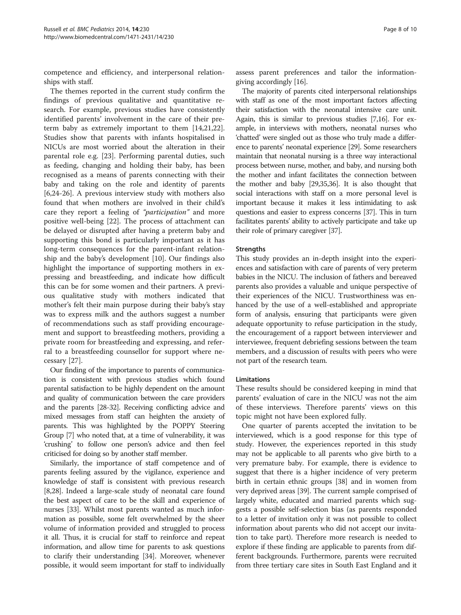competence and efficiency, and interpersonal relationships with staff.

The themes reported in the current study confirm the findings of previous qualitative and quantitative research. For example, previous studies have consistently identified parents' involvement in the care of their preterm baby as extremely important to them [\[14,21,22](#page-9-0)]. Studies show that parents with infants hospitalised in NICUs are most worried about the alteration in their parental role e.g. [\[23](#page-9-0)]. Performing parental duties, such as feeding, changing and holding their baby, has been recognised as a means of parents connecting with their baby and taking on the role and identity of parents [[6,24-26](#page-9-0)]. A previous interview study with mothers also found that when mothers are involved in their child's care they report a feeling of "participation" and more positive well-being [\[22\]](#page-9-0). The process of attachment can be delayed or disrupted after having a preterm baby and supporting this bond is particularly important as it has long-term consequences for the parent-infant relationship and the baby's development [[10](#page-9-0)]. Our findings also highlight the importance of supporting mothers in expressing and breastfeeding, and indicate how difficult this can be for some women and their partners. A previous qualitative study with mothers indicated that mother's felt their main purpose during their baby's stay was to express milk and the authors suggest a number of recommendations such as staff providing encouragement and support to breastfeeding mothers, providing a private room for breastfeeding and expressing, and referral to a breastfeeding counsellor for support where necessary [[27](#page-9-0)].

Our finding of the importance to parents of communication is consistent with previous studies which found parental satisfaction to be highly dependent on the amount and quality of communication between the care providers and the parents [\[28-32\]](#page-9-0). Receiving conflicting advice and mixed messages from staff can heighten the anxiety of parents. This was highlighted by the POPPY Steering Group [\[7](#page-9-0)] who noted that, at a time of vulnerability, it was 'crushing' to follow one person's advice and then feel criticised for doing so by another staff member.

Similarly, the importance of staff competence and of parents feeling assured by the vigilance, experience and knowledge of staff is consistent with previous research [[8,28](#page-9-0)]. Indeed a large-scale study of neonatal care found the best aspect of care to be the skill and experience of nurses [[33](#page-9-0)]. Whilst most parents wanted as much information as possible, some felt overwhelmed by the sheer volume of information provided and struggled to process it all. Thus, it is crucial for staff to reinforce and repeat information, and allow time for parents to ask questions to clarify their understanding [\[34\]](#page-9-0). Moreover, whenever possible, it would seem important for staff to individually

assess parent preferences and tailor the informationgiving accordingly [[16](#page-9-0)].

The majority of parents cited interpersonal relationships with staff as one of the most important factors affecting their satisfaction with the neonatal intensive care unit. Again, this is similar to previous studies [\[7,16](#page-9-0)]. For example, in interviews with mothers, neonatal nurses who 'chatted' were singled out as those who truly made a difference to parents' neonatal experience [[29](#page-9-0)]. Some researchers maintain that neonatal nursing is a three way interactional process between nurse, mother, and baby, and nursing both the mother and infant facilitates the connection between the mother and baby [\[29,35,36](#page-9-0)]. It is also thought that social interactions with staff on a more personal level is important because it makes it less intimidating to ask questions and easier to express concerns [[37\]](#page-9-0). This in turn facilitates parents' ability to actively participate and take up their role of primary caregiver [\[37\]](#page-9-0).

#### **Strengths**

This study provides an in-depth insight into the experiences and satisfaction with care of parents of very preterm babies in the NICU. The inclusion of fathers and bereaved parents also provides a valuable and unique perspective of their experiences of the NICU. Trustworthiness was enhanced by the use of a well-established and appropriate form of analysis, ensuring that participants were given adequate opportunity to refuse participation in the study, the encouragement of a rapport between interviewer and interviewee, frequent debriefing sessions between the team members, and a discussion of results with peers who were not part of the research team.

#### Limitations

These results should be considered keeping in mind that parents' evaluation of care in the NICU was not the aim of these interviews. Therefore parents' views on this topic might not have been explored fully.

One quarter of parents accepted the invitation to be interviewed, which is a good response for this type of study. However, the experiences reported in this study may not be applicable to all parents who give birth to a very premature baby. For example, there is evidence to suggest that there is a higher incidence of very preterm birth in certain ethnic groups [\[38](#page-9-0)] and in women from very deprived areas [\[39\]](#page-9-0). The current sample comprised of largely white, educated and married parents which suggests a possible self-selection bias (as parents responded to a letter of invitation only it was not possible to collect information about parents who did not accept our invitation to take part). Therefore more research is needed to explore if these finding are applicable to parents from different backgrounds. Furthermore, parents were recruited from three tertiary care sites in South East England and it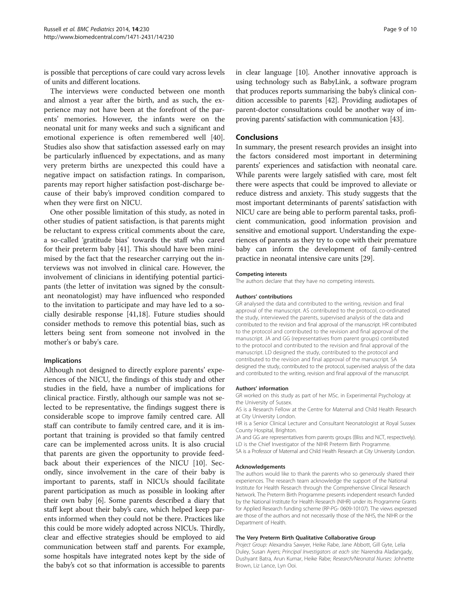is possible that perceptions of care could vary across levels of units and different locations.

The interviews were conducted between one month and almost a year after the birth, and as such, the experience may not have been at the forefront of the parents' memories. However, the infants were on the neonatal unit for many weeks and such a significant and emotional experience is often remembered well [\[40](#page-9-0)]. Studies also show that satisfaction assessed early on may be particularly influenced by expectations, and as many very preterm births are unexpected this could have a negative impact on satisfaction ratings. In comparison, parents may report higher satisfaction post-discharge because of their baby's improved condition compared to when they were first on NICU.

One other possible limitation of this study, as noted in other studies of patient satisfaction, is that parents might be reluctant to express critical comments about the care, a so-called 'gratitude bias' towards the staff who cared for their preterm baby [[41](#page-9-0)]. This should have been minimised by the fact that the researcher carrying out the interviews was not involved in clinical care. However, the involvement of clinicians in identifying potential participants (the letter of invitation was signed by the consultant neonatologist) may have influenced who responded to the invitation to participate and may have led to a socially desirable response [[41,18\]](#page-9-0). Future studies should consider methods to remove this potential bias, such as letters being sent from someone not involved in the mother's or baby's care.

#### Implications

Although not designed to directly explore parents' experiences of the NICU, the findings of this study and other studies in the field, have a number of implications for clinical practice. Firstly, although our sample was not selected to be representative, the findings suggest there is considerable scope to improve family centred care. All staff can contribute to family centred care, and it is important that training is provided so that family centred care can be implemented across units. It is also crucial that parents are given the opportunity to provide feedback about their experiences of the NICU [[10](#page-9-0)]. Secondly, since involvement in the care of their baby is important to parents, staff in NICUs should facilitate parent participation as much as possible in looking after their own baby [\[6](#page-9-0)]. Some parents described a diary that staff kept about their baby's care, which helped keep parents informed when they could not be there. Practices like this could be more widely adopted across NICUs. Thirdly, clear and effective strategies should be employed to aid communication between staff and parents. For example, some hospitals have integrated notes kept by the side of the baby's cot so that information is accessible to parents

in clear language [\[10](#page-9-0)]. Another innovative approach is using technology such as BabyLink, a software program that produces reports summarising the baby's clinical condition accessible to parents [\[42\]](#page-9-0). Providing audiotapes of parent-doctor consultations could be another way of improving parents' satisfaction with communication [\[43\]](#page-9-0).

#### **Conclusions**

In summary, the present research provides an insight into the factors considered most important in determining parents' experiences and satisfaction with neonatal care. While parents were largely satisfied with care, most felt there were aspects that could be improved to alleviate or reduce distress and anxiety. This study suggests that the most important determinants of parents' satisfaction with NICU care are being able to perform parental tasks, proficient communication, good information provision and sensitive and emotional support. Understanding the experiences of parents as they try to cope with their premature baby can inform the development of family-centred practice in neonatal intensive care units [\[29\]](#page-9-0).

#### Competing interests

The authors declare that they have no competing interests.

#### Authors' contributions

GR analysed the data and contributed to the writing, revision and final approval of the manuscript. AS contributed to the protocol, co-ordinated the study, interviewed the parents, supervised analysis of the data and contributed to the revision and final approval of the manuscript. HR contributed to the protocol and contributed to the revision and final approval of the manuscript. JA and GG (representatives from parent groups) contributed to the protocol and contributed to the revision and final approval of the manuscript. LD designed the study, contributed to the protocol and contributed to the revision and final approval of the manuscript. SA designed the study, contributed to the protocol, supervised analysis of the data and contributed to the writing, revision and final approval of the manuscript.

#### Authors' information

GR worked on this study as part of her MSc. in Experimental Psychology at the University of Sussex.

AS is a Research Fellow at the Centre for Maternal and Child Health Research at City University London.

HR is a Senior Clinical Lecturer and Consultant Neonatologist at Royal Sussex County Hospital, Brighton.

JA and GG are representatives from parents groups (Bliss and NCT, respectively). LD is the Chief Investigator of the NIHR Preterm Birth Programme.

SA is a Professor of Maternal and Child Health Research at City University London.

#### Acknowledgements

The authors would like to thank the parents who so generously shared their experiences. The research team acknowledge the support of the National Institute for Health Research through the Comprehensive Clinical Research Network. The Preterm Birth Programme presents independent research funded by the National Institute for Health Research (NIHR) under its Programme Grants for Applied Research funding scheme (RP-PG- 0609-10107). The views expressed are those of the authors and not necessarily those of the NHS, the NIHR or the Department of Health.

#### The Very Preterm Birth Qualitative Collaborative Group

Project Group: Alexandra Sawyer, Heike Rabe, Jane Abbott, Gill Gyte, Lelia Duley, Susan Ayers; Principal Investigators at each site: Narendra Aladangady, Dushyant Batra, Arun Kumar, Heike Rabe; Research/Neonatal Nurses: Johnette Brown, Liz Lance, Lyn Ooi.